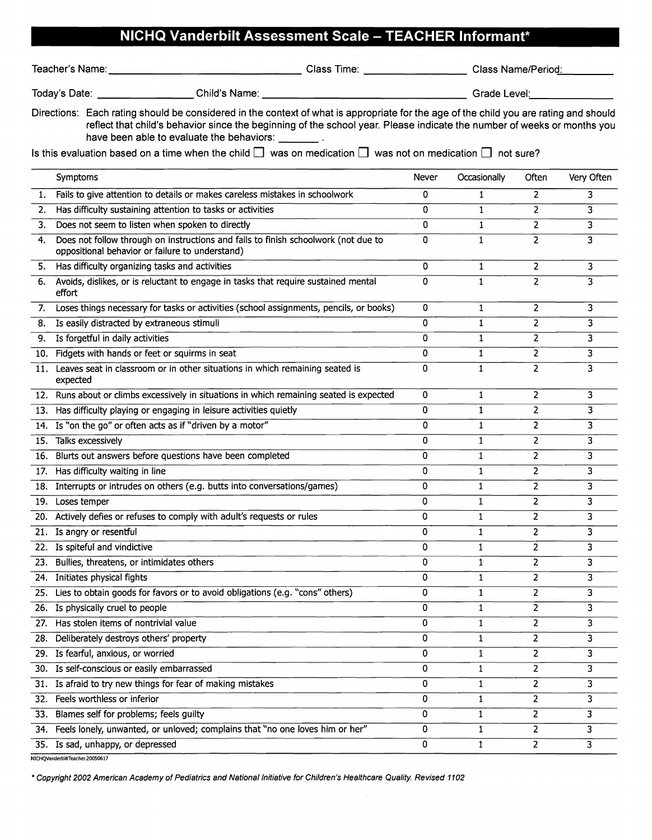## **NICHQ Vanderbilt Assessment Scale - TEACHER Informant\***

| Teacher's Name: | Class Time: | <b>Class Name/Period:</b> |
|-----------------|-------------|---------------------------|

Today's Date: Child's Name: Grade Level:

Directions: Each rating should be considered in the context of what is appropriate for the age of the child you are rating and should reflect that child's behavior since the beginning of the school year. Please indicate the number of weeks or months you have been able to evaluate the behaviors: \_\_\_\_\_\_\_.

Is this evaluation based on a time when the child  $\square$  was on medication  $\square$  was not on medication  $\square$  not sure?

|     | Symptoms                                                                                                                              | Never       | Occasionally | Often          | Very Often |
|-----|---------------------------------------------------------------------------------------------------------------------------------------|-------------|--------------|----------------|------------|
| 1.  | Fails to give attention to details or makes careless mistakes in schoolwork                                                           | 0           | 1            | 2              | 3          |
| 2.  | Has difficulty sustaining attention to tasks or activities                                                                            | 0           | 1            | $\overline{2}$ | 3          |
| 3.  | Does not seem to listen when spoken to directly                                                                                       | 0           | 1            | $\overline{2}$ | 3          |
| 4.  | Does not follow through on instructions and fails to finish schoolwork (not due to<br>oppositional behavior or failure to understand) | 0           | $\mathbf{1}$ | $\overline{2}$ | 3          |
| 5.  | Has difficulty organizing tasks and activities                                                                                        | 0           | $\mathbf{1}$ | 2              | 3          |
| 6.  | Avoids, dislikes, or is reluctant to engage in tasks that require sustained mental<br>effort                                          | $\mathbf 0$ | $\mathbf{1}$ | $\overline{2}$ | 3          |
| 7.  | Loses things necessary for tasks or activities (school assignments, pencils, or books)                                                | 0           | 1            | $\overline{2}$ | 3          |
| 8.  | Is easily distracted by extraneous stimuli                                                                                            | 0           | $\mathbf{1}$ | $\overline{2}$ | 3          |
| 9.  | Is forgetful in daily activities                                                                                                      | 0           | 1            | 2              | 3          |
|     | 10. Fidgets with hands or feet or squirms in seat                                                                                     | 0           | $\mathbf{1}$ | $\overline{2}$ | 3          |
| 11. | Leaves seat in classroom or in other situations in which remaining seated is<br>expected                                              | 0           | $\mathbf{1}$ | 2              | 3          |
|     | 12. Runs about or climbs excessively in situations in which remaining seated is expected                                              | 0           | $\mathbf{1}$ | $\overline{2}$ | 3          |
| 13. | Has difficulty playing or engaging in leisure activities quietly                                                                      | 0           | 1            | $\overline{2}$ | 3          |
| 14. | Is "on the go" or often acts as if "driven by a motor"                                                                                | 0           | $\mathbf{1}$ | 2              | 3          |
|     | 15. Talks excessively                                                                                                                 | 0           | 1            | 2              | 3          |
|     | 16. Blurts out answers before questions have been completed                                                                           | $\mathbf 0$ | $\mathbf{1}$ | $\overline{c}$ | 3          |
|     | 17. Has difficulty waiting in line                                                                                                    | 0           | 1            | 2              | 3          |
|     | 18. Interrupts or intrudes on others (e.g. butts into conversations/games)                                                            | 0           | 1            | 2              | 3          |
|     | 19. Loses temper                                                                                                                      | 0           | $\mathbf{1}$ | $\overline{2}$ | 3          |
|     | 20. Actively defies or refuses to comply with adult's requests or rules                                                               | 0           | $\mathbf{1}$ | $\overline{2}$ | 3          |
|     | 21. Is angry or resentful                                                                                                             | $\Omega$    | $\mathbf{1}$ | $\overline{2}$ | 3          |
|     | 22. Is spiteful and vindictive                                                                                                        | 0           | $\mathbf{1}$ | 2              | 3          |
|     | 23. Bullies, threatens, or intimidates others                                                                                         | 0           | 1            | 2              | 3          |
|     | 24. Initiates physical fights                                                                                                         | 0           | $\mathbf{1}$ | $\overline{2}$ | 3          |
|     | 25. Lies to obtain goods for favors or to avoid obligations (e.g. "cons" others)                                                      | 0           | 1            | $\overline{2}$ | 3          |
|     | 26. Is physically cruel to people                                                                                                     | 0           | $\mathbf{1}$ | 2              | 3          |
| 27. | Has stolen items of nontrivial value                                                                                                  | 0           | $\mathbf{1}$ | $\overline{2}$ | 3          |
|     | 28. Deliberately destroys others' property                                                                                            | 0           | $\mathbf{1}$ | $\overline{2}$ | 3          |
|     | 29. Is fearful, anxious, or worried                                                                                                   | 0           | $\mathbf{1}$ | 2              | 3          |
|     | 30. Is self-conscious or easily embarrassed                                                                                           | 0           | $\mathbf{1}$ | $\overline{2}$ | 3          |
| 31. | Is afraid to try new things for fear of making mistakes                                                                               | 0           | $\mathbf{1}$ | 2              | 3          |
| 32. | Feels worthless or inferior                                                                                                           | 0           | $\mathbf{1}$ | $\overline{2}$ | 3          |
|     | 33. Blames self for problems; feels guilty                                                                                            | 0           | 1            | $\overline{2}$ | 3          |
|     | 34. Feels lonely, unwanted, or unloved; complains that "no one loves him or her"                                                      | 0           | $\mathbf{1}$ | $\overline{2}$ | 3          |
|     | 35. Is sad, unhappy, or depressed                                                                                                     | 0           | $\mathbf{1}$ | $\overline{c}$ | 3          |

NICHQVanderblltTeacher.20050617

\* Copyright 2002 American Academy of Pediatrics and National Initiative for Children's Healthcare Quality. Revised 1102